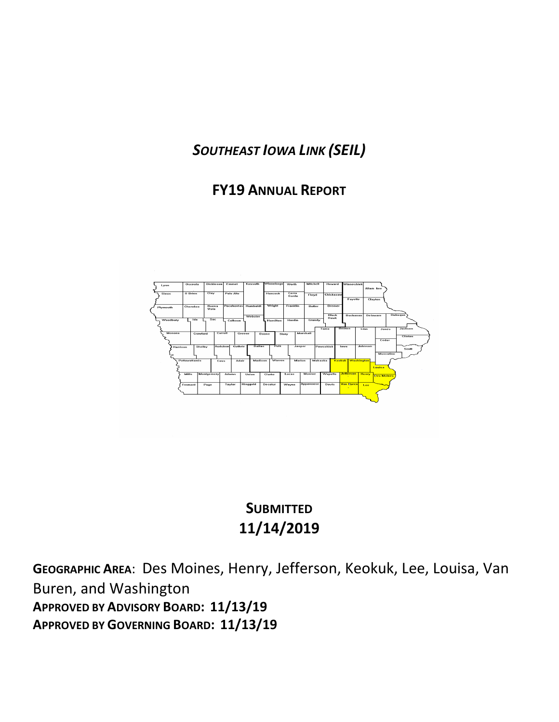# *SOUTHEAST IOWA LINK (SEIL)*

## **FY19 ANNUAL REPORT**



# **SUBMITTED 11/14/2019**

**GEOGRAPHIC AREA**: Des Moines, Henry, Jefferson, Keokuk, Lee, Louisa, Van Buren, and Washington **APPROVED BY ADVISORY BOARD: 11/13/19 APPROVED BY GOVERNING BOARD: 11/13/19**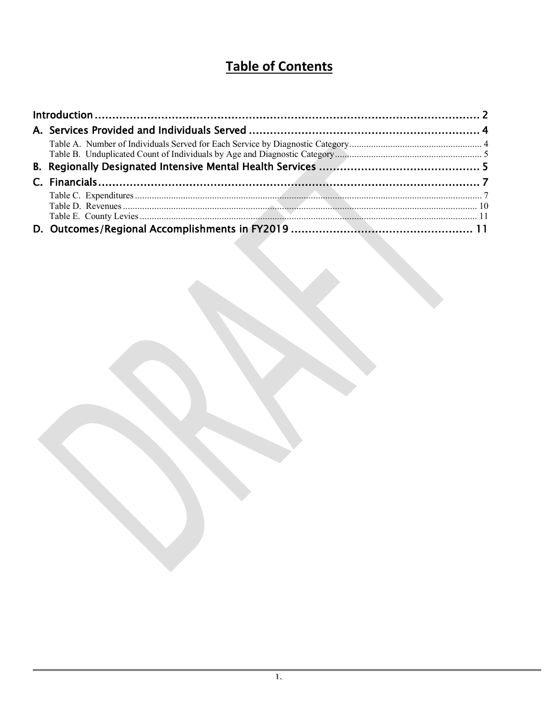# **Table of Contents**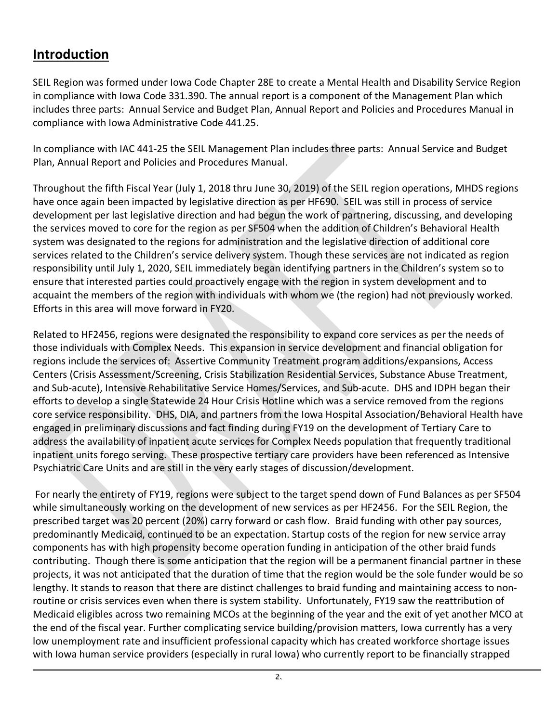## <span id="page-2-0"></span>**Introduction**

SEIL Region was formed under Iowa Code Chapter 28E to create a Mental Health and Disability Service Region in compliance with Iowa Code 331.390. The annual report is a component of the Management Plan which includes three parts: Annual Service and Budget Plan, Annual Report and Policies and Procedures Manual in compliance with Iowa Administrative Code 441.25.

In compliance with IAC 441-25 the SEIL Management Plan includes three parts: Annual Service and Budget Plan, Annual Report and Policies and Procedures Manual.

Throughout the fifth Fiscal Year (July 1, 2018 thru June 30, 2019) of the SEIL region operations, MHDS regions have once again been impacted by legislative direction as per HF690. SEIL was still in process of service development per last legislative direction and had begun the work of partnering, discussing, and developing the services moved to core for the region as per SF504 when the addition of Children's Behavioral Health system was designated to the regions for administration and the legislative direction of additional core services related to the Children's service delivery system. Though these services are not indicated as region responsibility until July 1, 2020, SEIL immediately began identifying partners in the Children's system so to ensure that interested parties could proactively engage with the region in system development and to acquaint the members of the region with individuals with whom we (the region) had not previously worked. Efforts in this area will move forward in FY20.

Related to HF2456, regions were designated the responsibility to expand core services as per the needs of those individuals with Complex Needs. This expansion in service development and financial obligation for regions include the services of: Assertive Community Treatment program additions/expansions, Access Centers (Crisis Assessment/Screening, Crisis Stabilization Residential Services, Substance Abuse Treatment, and Sub-acute), Intensive Rehabilitative Service Homes/Services, and Sub-acute. DHS and IDPH began their efforts to develop a single Statewide 24 Hour Crisis Hotline which was a service removed from the regions core service responsibility. DHS, DIA, and partners from the Iowa Hospital Association/Behavioral Health have engaged in preliminary discussions and fact finding during FY19 on the development of Tertiary Care to address the availability of inpatient acute services for Complex Needs population that frequently traditional inpatient units forego serving. These prospective tertiary care providers have been referenced as Intensive Psychiatric Care Units and are still in the very early stages of discussion/development.

For nearly the entirety of FY19, regions were subject to the target spend down of Fund Balances as per SF504 while simultaneously working on the development of new services as per HF2456. For the SEIL Region, the prescribed target was 20 percent (20%) carry forward or cash flow. Braid funding with other pay sources, predominantly Medicaid, continued to be an expectation. Startup costs of the region for new service array components has with high propensity become operation funding in anticipation of the other braid funds contributing. Though there is some anticipation that the region will be a permanent financial partner in these projects, it was not anticipated that the duration of time that the region would be the sole funder would be so lengthy. It stands to reason that there are distinct challenges to braid funding and maintaining access to nonroutine or crisis services even when there is system stability. Unfortunately, FY19 saw the reattribution of Medicaid eligibles across two remaining MCOs at the beginning of the year and the exit of yet another MCO at the end of the fiscal year. Further complicating service building/provision matters, Iowa currently has a very low unemployment rate and insufficient professional capacity which has created workforce shortage issues with Iowa human service providers (especially in rural Iowa) who currently report to be financially strapped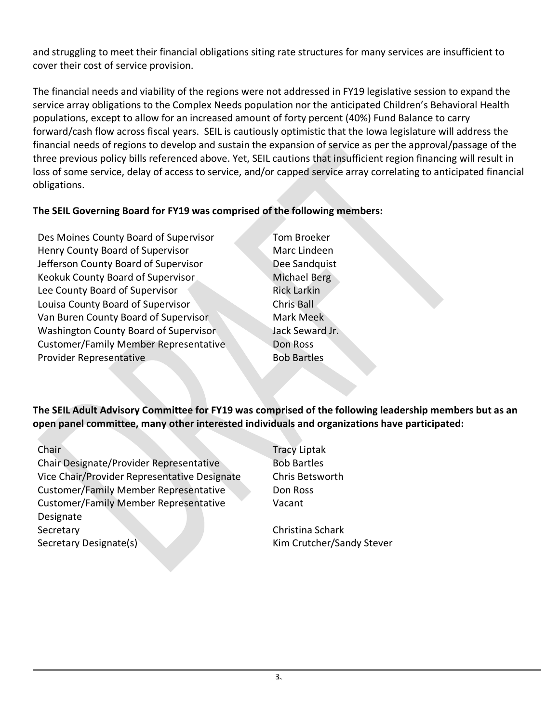and struggling to meet their financial obligations siting rate structures for many services are insufficient to cover their cost of service provision.

The financial needs and viability of the regions were not addressed in FY19 legislative session to expand the service array obligations to the Complex Needs population nor the anticipated Children's Behavioral Health populations, except to allow for an increased amount of forty percent (40%) Fund Balance to carry forward/cash flow across fiscal years. SEIL is cautiously optimistic that the Iowa legislature will address the financial needs of regions to develop and sustain the expansion of service as per the approval/passage of the three previous policy bills referenced above. Yet, SEIL cautions that insufficient region financing will result in loss of some service, delay of access to service, and/or capped service array correlating to anticipated financial obligations.

#### **The SEIL Governing Board for FY19 was comprised of the following members:**

Des Moines County Board of Supervisor Tom Broeker Henry County Board of Supervisor Marc Lindeen Jefferson County Board of Supervisor Dee Sandquist Keokuk County Board of Supervisor Michael Berg Lee County Board of Supervisor **Rick Larkin** Louisa County Board of Supervisor Chris Ball Van Buren County Board of Supervisor Mark Meek Washington County Board of Supervisor Jack Seward Jr. Customer/Family Member Representative Don Ross Provider Representative Bob Bartles

**The SEIL Adult Advisory Committee for FY19 was comprised of the following leadership members but as an open panel committee, many other interested individuals and organizations have participated:**

Chair Designate/Provider Representative Bob Bartles Vice Chair/Provider Representative Designate Chris Betsworth Customer/Family Member Representative Don Ross Customer/Family Member Representative Designate Secretary Christina Schark Secretary Designate(s) Kim Crutcher/Sandy Stever

Chair Tracy Liptak Vacant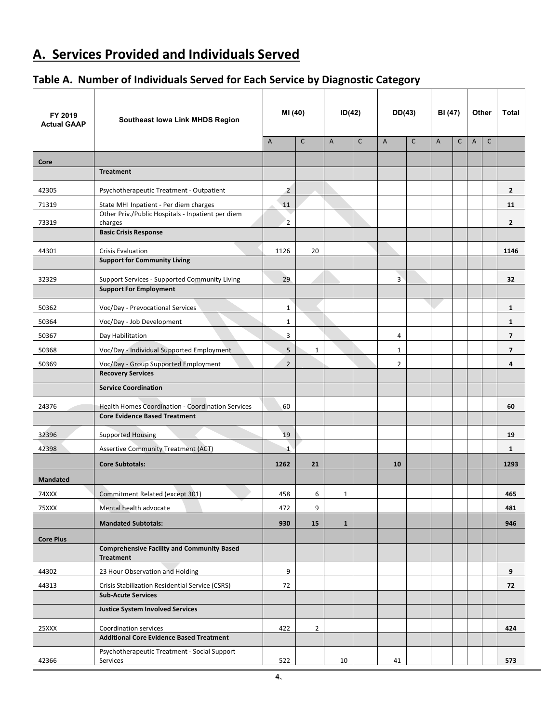## <span id="page-4-0"></span>**A. Services Provided and Individuals Served**

### <span id="page-4-1"></span>**Table A. Number of Individuals Served for Each Service by Diagnostic Category**

| FY 2019<br><b>Actual GAAP</b> | Southeast Iowa Link MHDS Region                                                                  | MI (40)        |                | ID(42)         |              |                |              | DD(43)         |              | BI (47)        |              |                | Other | <b>Total</b> |
|-------------------------------|--------------------------------------------------------------------------------------------------|----------------|----------------|----------------|--------------|----------------|--------------|----------------|--------------|----------------|--------------|----------------|-------|--------------|
|                               |                                                                                                  | Α              | $\mathsf{C}$   | $\overline{A}$ | $\mathsf{C}$ | $\mathsf{A}$   | $\mathsf{C}$ | $\overline{A}$ | $\mathsf{C}$ | $\overline{A}$ | $\mathsf{C}$ |                |       |              |
| Core                          |                                                                                                  |                |                |                |              |                |              |                |              |                |              |                |       |              |
|                               | <b>Treatment</b>                                                                                 |                |                |                |              |                |              |                |              |                |              |                |       |              |
| 42305                         | Psychotherapeutic Treatment - Outpatient                                                         | $\overline{2}$ |                |                |              |                |              |                |              |                |              | $\mathbf{2}$   |       |              |
| 71319                         | State MHI Inpatient - Per diem charges                                                           | 11             |                |                |              |                |              |                |              |                |              | 11             |       |              |
| 73319                         | Other Priv./Public Hospitals - Inpatient per diem<br>charges                                     | $\overline{2}$ |                |                |              |                |              |                |              |                |              | $\mathbf{2}$   |       |              |
|                               | <b>Basic Crisis Response</b>                                                                     |                |                |                |              |                |              |                |              |                |              |                |       |              |
| 44301                         | <b>Crisis Evaluation</b><br><b>Support for Community Living</b>                                  | 1126           | 20             |                |              |                |              |                |              |                |              | 1146           |       |              |
| 32329                         | Support Services - Supported Community Living                                                    | 29             |                |                |              | $\overline{3}$ |              |                |              |                |              | 32             |       |              |
|                               | <b>Support For Employment</b>                                                                    |                |                |                |              |                |              |                |              |                |              |                |       |              |
| 50362                         | Voc/Day - Prevocational Services                                                                 | $\mathbf 1$    |                |                |              |                |              |                |              |                |              | 1              |       |              |
| 50364                         | Voc/Day - Job Development                                                                        | $\mathbf{1}$   |                |                |              |                |              |                |              |                |              | $\mathbf{1}$   |       |              |
| 50367                         | Day Habilitation                                                                                 | 3              |                |                |              | 4              |              |                |              |                |              | 7              |       |              |
| 50368                         | Voc/Day - Individual Supported Employment                                                        | 5              | $\mathbf{1}$   |                |              | $\mathbf{1}$   |              |                |              |                |              | $\overline{7}$ |       |              |
| 50369                         | Voc/Day - Group Supported Employment                                                             | $\overline{2}$ |                |                |              | $\overline{2}$ |              |                |              |                |              | 4              |       |              |
|                               | <b>Recovery Services</b>                                                                         |                |                |                |              |                |              |                |              |                |              |                |       |              |
|                               | <b>Service Coordination</b>                                                                      |                |                |                |              |                |              |                |              |                |              |                |       |              |
| 24376                         | <b>Health Homes Coordination - Coordination Services</b><br><b>Core Evidence Based Treatment</b> | 60             |                |                |              |                |              |                |              |                |              | 60             |       |              |
| 32396                         | <b>Supported Housing</b>                                                                         | 19             |                |                |              |                |              |                |              |                |              | 19             |       |              |
| 42398                         | <b>Assertive Community Treatment (ACT)</b>                                                       | $\mathbf{1}$   |                |                |              |                |              |                |              |                |              | $\mathbf{1}$   |       |              |
|                               | <b>Core Subtotals:</b>                                                                           | 1262           | 21             |                |              | 10             |              |                |              |                |              | 1293           |       |              |
| <b>Mandated</b>               |                                                                                                  |                |                |                |              |                |              |                |              |                |              |                |       |              |
| 74XXX                         | Commitment Related (except 301)                                                                  | 458            | 6              | 1              |              |                |              |                |              |                |              | 465            |       |              |
| 75XXX                         | Mental health advocate                                                                           | 472            | 9              |                |              |                |              |                |              |                |              | 481            |       |              |
|                               | <b>Mandated Subtotals:</b>                                                                       | 930            | 15             | $\mathbf{1}$   |              |                |              |                |              |                |              | 946            |       |              |
| <b>Core Plus</b>              |                                                                                                  |                |                |                |              |                |              |                |              |                |              |                |       |              |
|                               | <b>Comprehensive Facility and Community Based</b><br>Treatment                                   |                |                |                |              |                |              |                |              |                |              |                |       |              |
| 44302                         | 23 Hour Observation and Holding                                                                  | 9              |                |                |              |                |              |                |              |                |              | 9              |       |              |
| 44313                         | Crisis Stabilization Residential Service (CSRS)                                                  | 72             |                |                |              |                |              |                |              |                |              | 72             |       |              |
|                               | <b>Sub-Acute Services</b>                                                                        |                |                |                |              |                |              |                |              |                |              |                |       |              |
|                               | <b>Justice System Involved Services</b>                                                          |                |                |                |              |                |              |                |              |                |              |                |       |              |
| 25XXX                         | Coordination services                                                                            | 422            | $\overline{2}$ |                |              |                |              |                |              |                |              | 424            |       |              |
|                               | <b>Additional Core Evidence Based Treatment</b>                                                  |                |                |                |              |                |              |                |              |                |              |                |       |              |
| 42366                         | Psychotherapeutic Treatment - Social Support<br>Services                                         | 522            |                | 10             |              | 41             |              |                |              |                |              | 573            |       |              |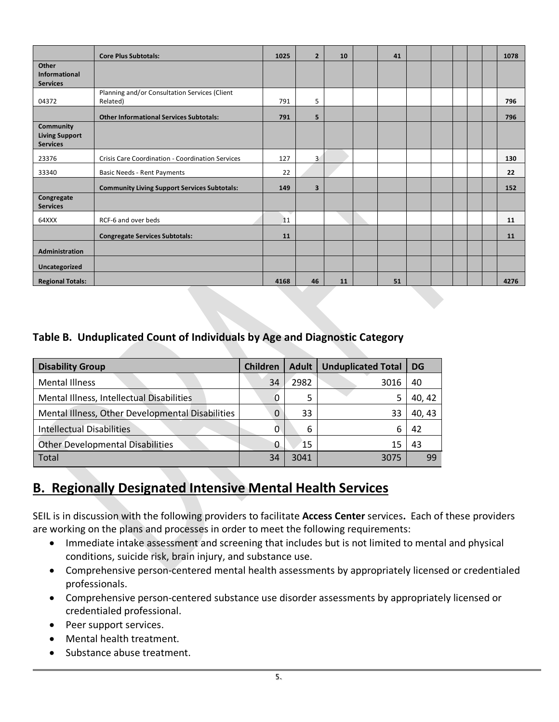|                                                              | <b>Core Plus Subtotals:</b>                               | 1025 | $\overline{2}$          | 10 | 41 |  |  | 1078 |
|--------------------------------------------------------------|-----------------------------------------------------------|------|-------------------------|----|----|--|--|------|
| Other<br>Informational<br><b>Services</b>                    |                                                           |      |                         |    |    |  |  |      |
| 04372                                                        | Planning and/or Consultation Services (Client<br>Related) |      | 5                       |    |    |  |  | 796  |
|                                                              | <b>Other Informational Services Subtotals:</b>            | 791  | 5                       |    |    |  |  | 796  |
| <b>Community</b><br><b>Living Support</b><br><b>Services</b> |                                                           |      |                         |    |    |  |  |      |
| 23376                                                        | Crisis Care Coordination - Coordination Services          | 127  | $\overline{\mathbf{3}}$ |    |    |  |  | 130  |
| 33340                                                        | Basic Needs - Rent Payments                               | 22   |                         |    |    |  |  | 22   |
|                                                              | <b>Community Living Support Services Subtotals:</b>       | 149  | $\overline{\mathbf{3}}$ |    |    |  |  | 152  |
| Congregate<br><b>Services</b>                                |                                                           |      |                         |    |    |  |  |      |
| 64XXX                                                        | RCF-6 and over beds                                       | 11   |                         |    |    |  |  | 11   |
|                                                              | <b>Congregate Services Subtotals:</b>                     | 11   |                         |    |    |  |  | 11   |
| Administration                                               |                                                           |      |                         |    |    |  |  |      |
| Uncategorized                                                |                                                           |      |                         |    |    |  |  |      |
| <b>Regional Totals:</b>                                      |                                                           | 4168 | 46                      | 11 | 51 |  |  | 4276 |

#### <span id="page-5-0"></span>**Table B. Unduplicated Count of Individuals by Age and Diagnostic Category**

| <b>Disability Group</b>                          | <b>Children</b> | Adult | <b>Unduplicated Total</b> | <b>DG</b> |
|--------------------------------------------------|-----------------|-------|---------------------------|-----------|
| <b>Mental Illness</b>                            | 34              | 2982  | 3016                      | 40        |
| Mental Illness, Intellectual Disabilities        | 0               | 5     |                           | 40, 42    |
| Mental Illness, Other Developmental Disabilities | 0               | 33    | 33                        | 40, 43    |
| <b>Intellectual Disabilities</b>                 | 0               | 6     | 6                         | 42        |
| <b>Other Developmental Disabilities</b>          | 0               | 15    | 15                        | 43        |
| <b>Total</b>                                     | 34              | 3041  | 3075                      | 99        |

## <span id="page-5-1"></span>**B. Regionally Designated Intensive Mental Health Services**

SEIL is in discussion with the following providers to facilitate **Access Center** services**.** Each of these providers are working on the plans and processes in order to meet the following requirements:

- Immediate intake assessment and screening that includes but is not limited to mental and physical conditions, suicide risk, brain injury, and substance use.
- Comprehensive person-centered mental health assessments by appropriately licensed or credentialed professionals.
- Comprehensive person-centered substance use disorder assessments by appropriately licensed or credentialed professional.
- Peer support services.
- Mental health treatment.
- Substance abuse treatment.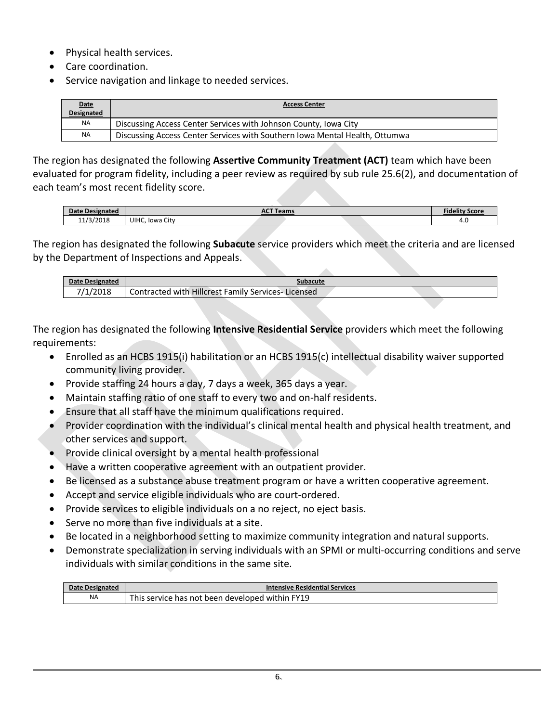- Physical health services.
- Care coordination.
- Service navigation and linkage to needed services.

| <b>Date</b><br>Designated | <b>Access Center</b>                                                        |
|---------------------------|-----------------------------------------------------------------------------|
| <b>NA</b>                 | Discussing Access Center Services with Johnson County, Iowa City            |
| <b>NA</b>                 | Discussing Access Center Services with Southern Iowa Mental Health, Ottumwa |

The region has designated the following **Assertive Community Treatment (ACT)** team which have been evaluated for program fidelity, including a peer review as required by sub rule 25.6(2), and documentation of each team's most recent fidelity score.

| Date Designated |                    | <b>CT Teams</b> | <b>Fidelity S</b><br>Score |
|-----------------|--------------------|-----------------|----------------------------|
| 11/3/2018       | UIHC,<br>Iowa City |                 | $\sim$<br>4.U              |

The region has designated the following **Subacute** service providers which meet the criteria and are licensed by the Department of Inspections and Appeals.

| subacute                                                                  |
|---------------------------------------------------------------------------|
| i Hillcrest<br>with<br>Contracted<br>Family<br>Services-<br>Licensed<br>ັ |
|                                                                           |

The region has designated the following **Intensive Residential Service** providers which meet the following requirements:

- Enrolled as an HCBS 1915(i) habilitation or an HCBS 1915(c) intellectual disability waiver supported community living provider.
- Provide staffing 24 hours a day, 7 days a week, 365 days a year.
- Maintain staffing ratio of one staff to every two and on-half residents.
- Ensure that all staff have the minimum qualifications required.
- Provider coordination with the individual's clinical mental health and physical health treatment, and other services and support.
- Provide clinical oversight by a mental health professional
- Have a written cooperative agreement with an outpatient provider.
- Be licensed as a substance abuse treatment program or have a written cooperative agreement.
- Accept and service eligible individuals who are court-ordered.
- Provide services to eligible individuals on a no reject, no eject basis.
- Serve no more than five individuals at a site.
- Be located in a neighborhood setting to maximize community integration and natural supports.
- Demonstrate specialization in serving individuals with an SPMI or multi-occurring conditions and serve individuals with similar conditions in the same site.

<span id="page-6-0"></span>

| Date<br>Designate | <b>Intensive Residential Services</b>                                                          |
|-------------------|------------------------------------------------------------------------------------------------|
| <b>NA</b>         | 'Y19<br>This $\overline{a}$<br>i service has not i<br>withir<br>been<br>nannlaveh <sub>i</sub> |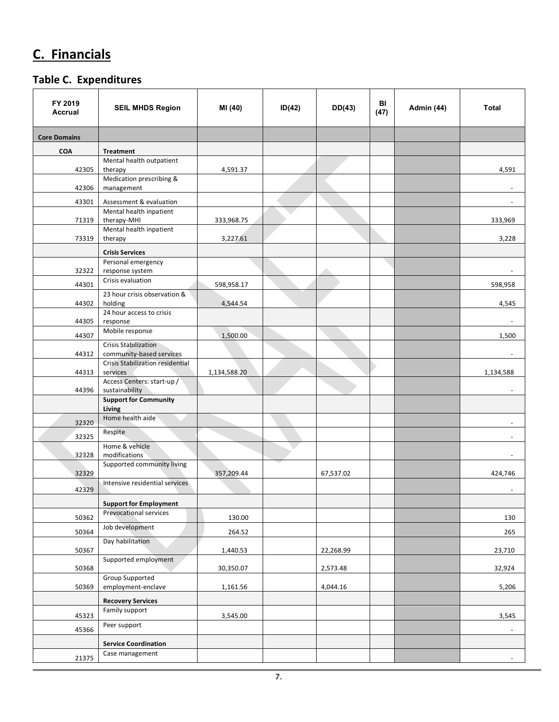# **C. Financials**

#### <span id="page-7-0"></span>**Table C. Expenditures**

| FY 2019<br><b>Accrual</b> | <b>SEIL MHDS Region</b>                                        | MI (40)      | ID(42) | DD(43)    | BI<br>(47) | Admin (44) | <b>Total</b>             |
|---------------------------|----------------------------------------------------------------|--------------|--------|-----------|------------|------------|--------------------------|
| <b>Core Domains</b>       |                                                                |              |        |           |            |            |                          |
| <b>COA</b>                | <b>Treatment</b>                                               |              |        |           |            |            |                          |
|                           | Mental health outpatient                                       |              |        |           |            |            |                          |
| 42305                     | therapy<br>Medication prescribing &                            | 4,591.37     |        |           |            |            | 4,591                    |
| 42306                     | management                                                     |              |        |           |            |            |                          |
| 43301                     | Assessment & evaluation                                        |              |        |           |            |            |                          |
|                           | Mental health inpatient                                        |              |        |           |            |            |                          |
| 71319                     | therapy-MHI<br>Mental health inpatient                         | 333,968.75   |        |           |            |            | 333,969                  |
| 73319                     | therapy                                                        | 3,227.61     |        |           |            |            | 3,228                    |
|                           | <b>Crisis Services</b>                                         |              |        |           |            |            |                          |
|                           | Personal emergency                                             |              |        |           |            |            |                          |
| 32322                     | response system                                                |              |        |           |            |            |                          |
| 44301                     | Crisis evaluation                                              | 598,958.17   |        |           |            |            | 598,958                  |
| 44302                     | 23 hour crisis observation &<br>holding                        | 4,544.54     |        |           |            |            | 4,545                    |
|                           | 24 hour access to crisis                                       |              |        |           |            |            |                          |
| 44305                     | response                                                       |              |        |           |            |            | $\blacksquare$           |
| 44307                     | Mobile response                                                | 1,500.00     |        |           |            |            | 1,500                    |
|                           | <b>Crisis Stabilization</b>                                    |              |        |           |            |            |                          |
| 44312                     | community-based services<br>Crisis Stabilization residential   |              |        |           |            |            | $\blacksquare$           |
| 44313                     | services                                                       | 1,134,588.20 |        |           |            |            | 1,134,588                |
|                           | Access Centers: start-up /                                     |              |        |           |            |            |                          |
| 44396                     | sustainability<br><b>Support for Community</b>                 |              |        |           |            |            |                          |
|                           | Living                                                         |              |        |           |            |            |                          |
| 32320                     | Home health aide                                               |              |        |           |            |            |                          |
| 32325                     | Respite                                                        |              |        |           |            |            |                          |
|                           | Home & vehicle                                                 |              |        |           |            |            |                          |
| 32328                     | modifications                                                  |              |        |           |            |            |                          |
| 32329                     | Supported community living                                     | 357,209.44   |        | 67,537.02 |            |            | 424,746                  |
|                           | Intensive residential services                                 |              |        |           |            |            |                          |
| 42329                     |                                                                |              |        |           |            |            |                          |
|                           | <b>Support for Employment</b><br><b>Prevocational services</b> |              |        |           |            |            |                          |
| 50362                     |                                                                | 130.00       |        |           |            |            | 130                      |
| 50364                     | Job development                                                | 264.52       |        |           |            |            | 265                      |
| 50367                     | Day habilitation                                               | 1,440.53     |        | 22,268.99 |            |            | 23,710                   |
|                           | Supported employment                                           |              |        |           |            |            |                          |
| 50368                     |                                                                | 30,350.07    |        | 2,573.48  |            |            | 32,924                   |
| 50369                     | Group Supported<br>employment-enclave                          | 1,161.56     |        | 4,044.16  |            |            | 5,206                    |
|                           | <b>Recovery Services</b>                                       |              |        |           |            |            |                          |
|                           | Family support                                                 |              |        |           |            |            |                          |
| 45323                     | Peer support                                                   | 3,545.00     |        |           |            |            | 3,545                    |
| 45366                     |                                                                |              |        |           |            |            | $\overline{\phantom{a}}$ |
|                           | <b>Service Coordination</b>                                    |              |        |           |            |            |                          |
| 21375                     | Case management                                                |              |        |           |            |            | $\blacksquare$           |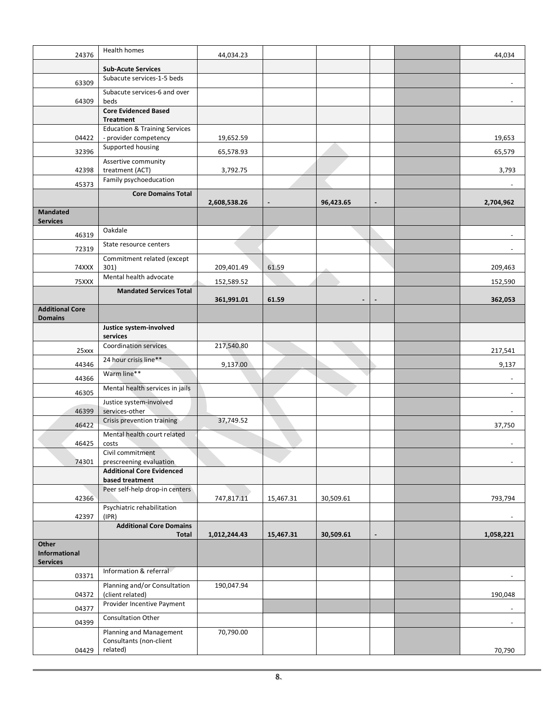| 24376                                    | <b>Health homes</b>                                               | 44,034.23    |           |           |  | 44,034    |
|------------------------------------------|-------------------------------------------------------------------|--------------|-----------|-----------|--|-----------|
|                                          | <b>Sub-Acute Services</b>                                         |              |           |           |  |           |
| 63309                                    | Subacute services-1-5 beds                                        |              |           |           |  |           |
| 64309                                    | Subacute services-6 and over<br>beds                              |              |           |           |  |           |
|                                          | <b>Core Evidenced Based</b><br><b>Treatment</b>                   |              |           |           |  |           |
| 04422                                    | <b>Education &amp; Training Services</b><br>- provider competency | 19,652.59    |           |           |  | 19,653    |
| 32396                                    | Supported housing                                                 | 65,578.93    |           |           |  | 65,579    |
| 42398                                    | Assertive community<br>treatment (ACT)                            | 3,792.75     |           |           |  | 3,793     |
| 45373                                    | Family psychoeducation                                            |              |           |           |  |           |
|                                          | <b>Core Domains Total</b>                                         |              |           |           |  |           |
| <b>Mandated</b>                          |                                                                   | 2,608,538.26 |           | 96,423.65 |  | 2,704,962 |
| <b>Services</b>                          |                                                                   |              |           |           |  |           |
| 46319                                    | Oakdale                                                           |              |           |           |  |           |
| 72319                                    | State resource centers                                            |              |           |           |  |           |
| 74XXX                                    | Commitment related (except<br>301)                                | 209,401.49   | 61.59     |           |  | 209,463   |
|                                          | Mental health advocate                                            |              |           |           |  |           |
| 75XXX                                    | <b>Mandated Services Total</b>                                    | 152,589.52   |           |           |  | 152,590   |
|                                          |                                                                   | 361,991.01   | 61.59     |           |  | 362,053   |
| <b>Additional Core</b><br><b>Domains</b> |                                                                   |              |           |           |  |           |
|                                          | Justice system-involved<br>services                               |              |           |           |  |           |
| 25xxx                                    | <b>Coordination services</b>                                      | 217,540.80   |           |           |  | 217,541   |
| 44346                                    | 24 hour crisis line**                                             | 9,137.00     |           |           |  | 9,137     |
| 44366                                    | Warm line**                                                       |              |           |           |  |           |
| 46305                                    | Mental health services in jails                                   |              |           |           |  |           |
| 46399                                    | Justice system-involved<br>services-other                         |              |           |           |  |           |
| 46422                                    | Crisis prevention training                                        | 37,749.52    |           |           |  | 37,750    |
|                                          | Mental health court related                                       |              |           |           |  |           |
| 46425                                    | costs<br>Civil commitment                                         |              |           |           |  |           |
| 74301                                    | prescreening evaluation                                           |              |           |           |  |           |
|                                          | <b>Additional Core Evidenced</b><br>based treatment               |              |           |           |  |           |
|                                          | Peer self-help drop-in centers                                    |              |           |           |  |           |
| 42366                                    |                                                                   | 747,817.11   | 15,467.31 | 30,509.61 |  | 793,794   |
| 42397                                    | Psychiatric rehabilitation<br>(IPR)                               |              |           |           |  |           |
|                                          | <b>Additional Core Domains</b><br><b>Total</b>                    | 1,012,244.43 | 15,467.31 | 30,509.61 |  | 1,058,221 |
| Other                                    |                                                                   |              |           |           |  |           |
| Informational<br><b>Services</b>         |                                                                   |              |           |           |  |           |
| 03371                                    | Information & referral                                            |              |           |           |  |           |
| 04372                                    | Planning and/or Consultation<br>(client related)                  | 190,047.94   |           |           |  | 190,048   |
| 04377                                    | Provider Incentive Payment                                        |              |           |           |  |           |
| 04399                                    | Consultation Other                                                |              |           |           |  |           |
|                                          | Planning and Management<br>Consultants (non-client                | 70,790.00    |           |           |  |           |
| 04429                                    | related)                                                          |              |           |           |  | 70,790    |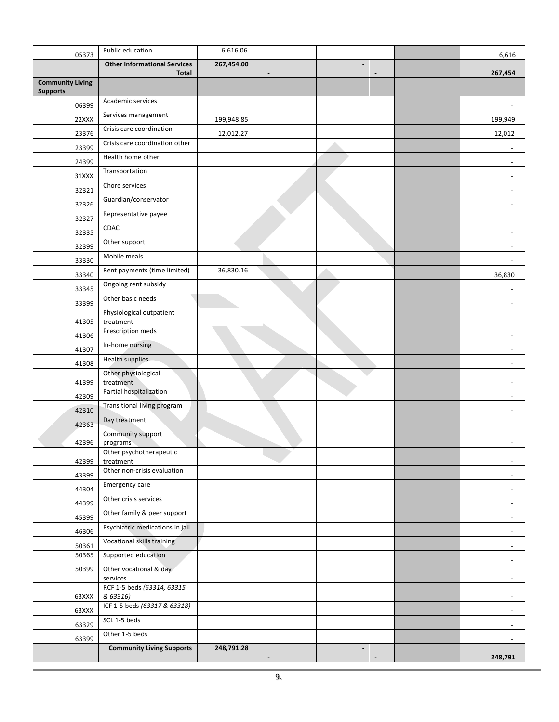| 05373                                      | Public education                                    | 6,616.06   |    |                          |  | 6,616                        |
|--------------------------------------------|-----------------------------------------------------|------------|----|--------------------------|--|------------------------------|
|                                            | <b>Other Informational Services</b><br><b>Total</b> | 267,454.00 |    | $\blacksquare$           |  | 267,454                      |
| <b>Community Living</b><br><b>Supports</b> |                                                     |            |    |                          |  |                              |
| 06399                                      | Academic services                                   |            |    |                          |  |                              |
| 22XXX                                      | Services management                                 | 199,948.85 |    |                          |  | 199,949                      |
| 23376                                      | Crisis care coordination                            | 12,012.27  |    |                          |  | 12,012                       |
| 23399                                      | Crisis care coordination other                      |            |    |                          |  |                              |
| 24399                                      | Health home other                                   |            |    |                          |  | $\overline{\phantom{a}}$     |
| 31XXX                                      | Transportation                                      |            |    |                          |  | $\overline{\phantom{a}}$     |
| 32321                                      | Chore services                                      |            |    |                          |  | ÷,                           |
| 32326                                      | Guardian/conservator                                |            |    |                          |  | ÷,                           |
| 32327                                      | Representative payee                                |            | v. |                          |  |                              |
| 32335                                      | CDAC                                                |            |    |                          |  | $\overline{\phantom{a}}$     |
| 32399                                      | Other support                                       |            |    |                          |  | ٠                            |
| 33330                                      | Mobile meals                                        |            |    |                          |  | $\blacksquare$               |
| 33340                                      | Rent payments (time limited)                        | 36,830.16  |    |                          |  | 36,830                       |
| 33345                                      | Ongoing rent subsidy                                |            |    |                          |  |                              |
| 33399                                      | Other basic needs                                   |            |    |                          |  |                              |
|                                            | Physiological outpatient                            |            |    |                          |  |                              |
| 41305                                      | treatment<br>Prescription meds                      |            |    |                          |  |                              |
| 41306                                      | In-home nursing                                     |            |    |                          |  |                              |
| 41307                                      | <b>Health supplies</b>                              |            |    |                          |  |                              |
| 41308                                      | Other physiological                                 |            |    |                          |  | $\overline{\phantom{a}}$     |
| 41399                                      | treatment                                           |            |    |                          |  | ÷,                           |
| 42309                                      | Partial hospitalization                             |            |    |                          |  | L,                           |
| 42310                                      | Transitional living program                         |            |    |                          |  |                              |
| 42363                                      | Day treatment                                       |            |    |                          |  | $\overline{\phantom{a}}$     |
| 42396                                      | Community support<br>programs                       |            |    |                          |  |                              |
|                                            | Other psychotherapeutic                             |            |    |                          |  |                              |
| 42399                                      | treatment<br>Other non-crisis evaluation            |            |    |                          |  | $\blacksquare$               |
| 43399                                      |                                                     |            |    |                          |  | $\blacksquare$               |
| 44304                                      | Emergency care                                      |            |    |                          |  | $\overline{\phantom{0}}$     |
| 44399                                      | Other crisis services                               |            |    |                          |  | $\overline{\phantom{0}}$     |
| 45399                                      | Other family & peer support                         |            |    |                          |  | $\overline{\phantom{a}}$     |
| 46306                                      | Psychiatric medications in jail                     |            |    |                          |  | $\overline{\phantom{a}}$     |
| 50361                                      | Vocational skills training                          |            |    |                          |  | $\blacksquare$               |
| 50365                                      | Supported education                                 |            |    |                          |  | $\overline{\phantom{a}}$     |
| 50399                                      | Other vocational & day<br>services                  |            |    |                          |  | $\overline{\phantom{a}}$     |
|                                            | RCF 1-5 beds (63314, 63315                          |            |    |                          |  |                              |
| 63XXX                                      | & 63316)<br>ICF 1-5 beds (63317 & 63318)            |            |    |                          |  | $\qquad \qquad \blacksquare$ |
| 63XXX                                      | SCL 1-5 beds                                        |            |    |                          |  | $\overline{\phantom{a}}$     |
| 63329                                      | Other 1-5 beds                                      |            |    |                          |  | ٠                            |
| 63399                                      | <b>Community Living Supports</b>                    | 248,791.28 |    | $\overline{\phantom{a}}$ |  | $\blacksquare$               |
|                                            |                                                     |            |    |                          |  | 248,791                      |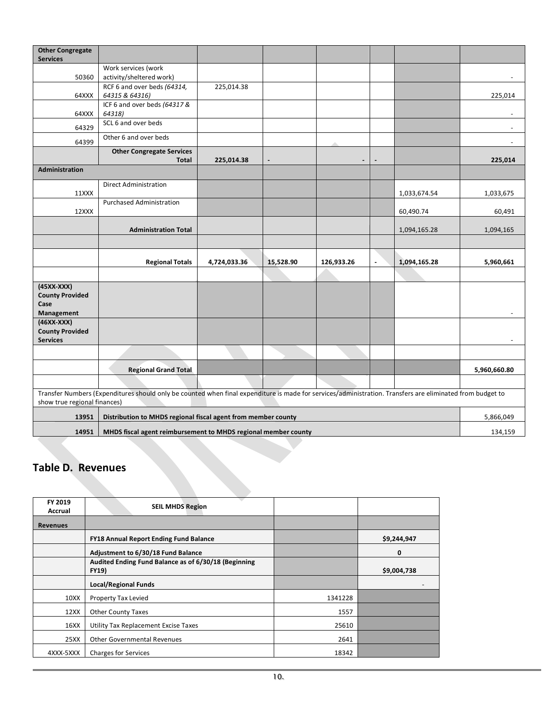| <b>Other Congregate</b><br><b>Services</b> |                                                                                                                                                           |              |           |            |                |              |              |
|--------------------------------------------|-----------------------------------------------------------------------------------------------------------------------------------------------------------|--------------|-----------|------------|----------------|--------------|--------------|
|                                            | Work services (work                                                                                                                                       |              |           |            |                |              |              |
| 50360                                      | activity/sheltered work)                                                                                                                                  |              |           |            |                |              |              |
| 64XXX                                      | RCF 6 and over beds (64314,<br>64315 & 64316)                                                                                                             | 225,014.38   |           |            |                |              | 225,014      |
|                                            | ICF 6 and over beds (64317 &                                                                                                                              |              |           |            |                |              |              |
| 64XXX                                      | 64318)<br>SCL 6 and over beds                                                                                                                             |              |           |            |                |              |              |
| 64329                                      |                                                                                                                                                           |              |           |            |                |              |              |
| 64399                                      | Other 6 and over beds                                                                                                                                     |              |           |            |                |              |              |
|                                            | <b>Other Congregate Services</b>                                                                                                                          |              |           |            |                |              |              |
| <b>Administration</b>                      | Total                                                                                                                                                     | 225,014.38   |           |            |                |              | 225,014      |
|                                            |                                                                                                                                                           |              |           |            |                |              |              |
| 11XXX                                      | <b>Direct Administration</b>                                                                                                                              |              |           |            |                | 1,033,674.54 | 1,033,675    |
|                                            | <b>Purchased Administration</b>                                                                                                                           |              |           |            |                |              |              |
| 12XXX                                      |                                                                                                                                                           |              |           |            |                | 60,490.74    | 60,491       |
|                                            | <b>Administration Total</b>                                                                                                                               |              |           |            |                | 1,094,165.28 | 1,094,165    |
|                                            |                                                                                                                                                           |              |           |            |                |              |              |
|                                            |                                                                                                                                                           |              |           |            |                |              |              |
|                                            | <b>Regional Totals</b>                                                                                                                                    | 4,724,033.36 | 15,528.90 | 126,933.26 | $\blacksquare$ | 1,094,165.28 | 5,960,661    |
|                                            |                                                                                                                                                           |              |           |            |                |              |              |
| $(45XX-XXX)$<br><b>County Provided</b>     |                                                                                                                                                           |              |           |            |                |              |              |
| Case                                       |                                                                                                                                                           |              |           |            |                |              |              |
| Management                                 |                                                                                                                                                           |              |           |            |                |              |              |
| $(46XX-XXX)$                               |                                                                                                                                                           |              |           |            |                |              |              |
| <b>County Provided</b><br><b>Services</b>  |                                                                                                                                                           |              |           |            |                |              |              |
|                                            |                                                                                                                                                           |              |           |            |                |              |              |
|                                            | <b>Regional Grand Total</b>                                                                                                                               |              |           |            |                |              | 5,960,660.80 |
|                                            |                                                                                                                                                           |              |           |            |                |              |              |
|                                            | Transfer Numbers (Expenditures should only be counted when final expenditure is made for services/administration. Transfers are eliminated from budget to |              |           |            |                |              |              |
| show true regional finances)               |                                                                                                                                                           |              |           |            |                |              |              |
| 13951                                      | Distribution to MHDS regional fiscal agent from member county                                                                                             |              |           |            |                |              | 5,866,049    |
| 14951                                      | MHDS fiscal agent reimbursement to MHDS regional member county                                                                                            |              |           |            |                |              | 134,159      |

#### <span id="page-10-0"></span>**Table D. Revenues**

| FY 2019<br>Accrual | <b>SEIL MHDS Region</b>                                              |         |             |
|--------------------|----------------------------------------------------------------------|---------|-------------|
| <b>Revenues</b>    |                                                                      |         |             |
|                    | <b>FY18 Annual Report Ending Fund Balance</b>                        |         | \$9,244,947 |
|                    | Adjustment to 6/30/18 Fund Balance                                   |         | 0           |
|                    | Audited Ending Fund Balance as of 6/30/18 (Beginning<br><b>FY19)</b> |         | \$9,004,738 |
|                    | <b>Local/Regional Funds</b>                                          |         |             |
| 10XX               | <b>Property Tax Levied</b>                                           | 1341228 |             |
| 12XX               | <b>Other County Taxes</b>                                            | 1557    |             |
| 16XX               | <b>Utility Tax Replacement Excise Taxes</b>                          | 25610   |             |
| 25XX               | <b>Other Governmental Revenues</b>                                   | 2641    |             |
| 4XXX-5XXX          | <b>Charges for Services</b>                                          | 18342   |             |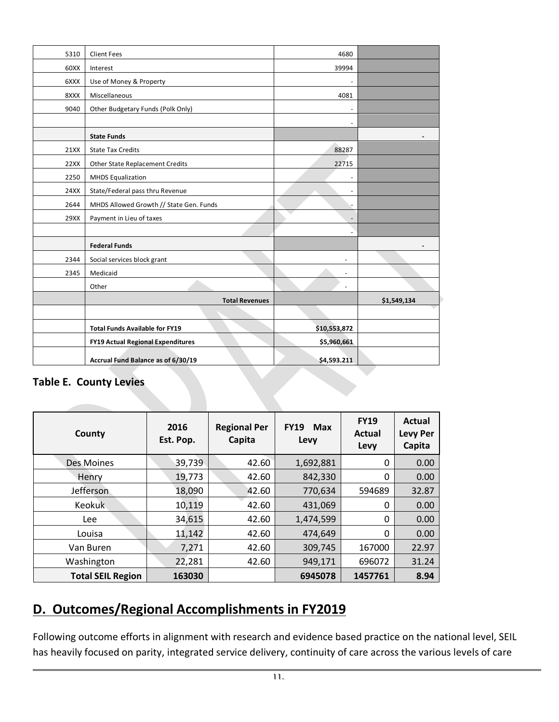| 5310 | <b>Client Fees</b>                       | 4680              |             |
|------|------------------------------------------|-------------------|-------------|
| 60XX | Interest                                 | 39994             |             |
| 6XXX | Use of Money & Property                  |                   |             |
| 8XXX | Miscellaneous                            | 4081              |             |
| 9040 | Other Budgetary Funds (Polk Only)        |                   |             |
|      |                                          |                   |             |
|      | <b>State Funds</b>                       |                   |             |
| 21XX | <b>State Tax Credits</b>                 | 88287             |             |
| 22XX | <b>Other State Replacement Credits</b>   | 22715             |             |
| 2250 | <b>MHDS Equalization</b>                 |                   |             |
| 24XX | State/Federal pass thru Revenue          | $\overline{a}$    |             |
| 2644 | MHDS Allowed Growth // State Gen. Funds  |                   |             |
| 29XX | Payment in Lieu of taxes                 | $\qquad \qquad -$ |             |
|      |                                          |                   |             |
|      | <b>Federal Funds</b>                     |                   |             |
| 2344 | Social services block grant              |                   |             |
| 2345 | Medicaid                                 |                   |             |
|      | Other                                    |                   |             |
|      | <b>Total Revenues</b>                    |                   | \$1,549,134 |
|      |                                          |                   |             |
|      | <b>Total Funds Available for FY19</b>    | \$10,553,872      |             |
|      | <b>FY19 Actual Regional Expenditures</b> | \$5,960,661       |             |
|      | Accrual Fund Balance as of 6/30/19       | \$4,593.211       |             |

#### <span id="page-11-0"></span>**Table E. County Levies**

| County                   | 2016<br>Est. Pop. | <b>Regional Per</b><br>Capita | <b>FY19</b><br>Max<br>Levy | <b>FY19</b><br>Actual<br>Levy | Actual<br><b>Levy Per</b><br>Capita |
|--------------------------|-------------------|-------------------------------|----------------------------|-------------------------------|-------------------------------------|
| <b>Des Moines</b>        | 39,739            | 42.60                         | 1,692,881                  | 0                             | 0.00                                |
| Henry                    | 19,773            | 42.60                         | 842,330                    | 0                             | 0.00                                |
| Jefferson                | 18,090            | 42.60                         | 770,634                    | 594689                        | 32.87                               |
| <b>Keokuk</b>            | 10,119            | 42.60                         | 431,069                    | 0                             | 0.00                                |
| Lee                      | 34,615            | 42.60                         | 1,474,599                  | 0                             | 0.00                                |
| Louisa                   | 11,142            | 42.60                         | 474,649                    | 0                             | 0.00                                |
| Van Buren                | 7,271             | 42.60                         | 309,745                    | 167000                        | 22.97                               |
| Washington               | 22,281            | 42.60                         | 949,171                    | 696072                        | 31.24                               |
| <b>Total SEIL Region</b> | 163030            |                               | 6945078                    | 1457761                       | 8.94                                |

## <span id="page-11-1"></span>**D. Outcomes/Regional Accomplishments in FY2019**

Following outcome efforts in alignment with research and evidence based practice on the national level, SEIL has heavily focused on parity, integrated service delivery, continuity of care across the various levels of care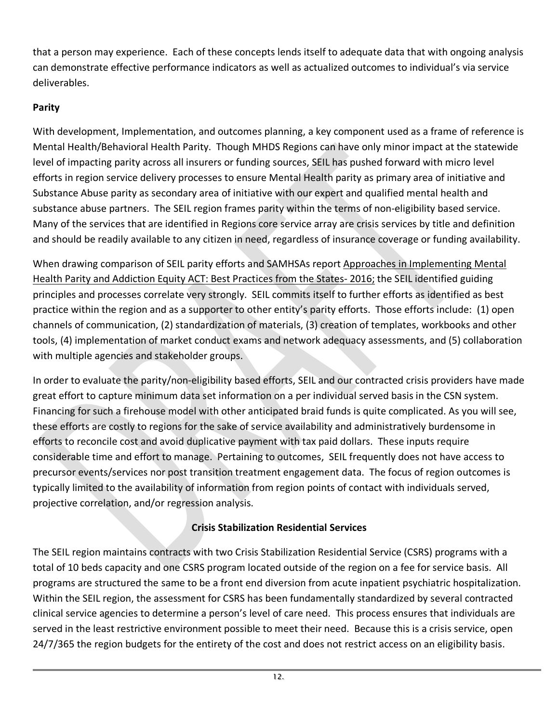that a person may experience. Each of these concepts lends itself to adequate data that with ongoing analysis can demonstrate effective performance indicators as well as actualized outcomes to individual's via service deliverables.

### **Parity**

With development, Implementation, and outcomes planning, a key component used as a frame of reference is Mental Health/Behavioral Health Parity. Though MHDS Regions can have only minor impact at the statewide level of impacting parity across all insurers or funding sources, SEIL has pushed forward with micro level efforts in region service delivery processes to ensure Mental Health parity as primary area of initiative and Substance Abuse parity as secondary area of initiative with our expert and qualified mental health and substance abuse partners. The SEIL region frames parity within the terms of non-eligibility based service. Many of the services that are identified in Regions core service array are crisis services by title and definition and should be readily available to any citizen in need, regardless of insurance coverage or funding availability.

When drawing comparison of SEIL parity efforts and SAMHSAs report Approaches in Implementing Mental Health Parity and Addiction Equity ACT: Best Practices from the States- 2016; the SEIL identified guiding principles and processes correlate very strongly. SEIL commits itself to further efforts as identified as best practice within the region and as a supporter to other entity's parity efforts. Those efforts include: (1) open channels of communication, (2) standardization of materials, (3) creation of templates, workbooks and other tools, (4) implementation of market conduct exams and network adequacy assessments, and (5) collaboration with multiple agencies and stakeholder groups.

In order to evaluate the parity/non-eligibility based efforts, SEIL and our contracted crisis providers have made great effort to capture minimum data set information on a per individual served basis in the CSN system. Financing for such a firehouse model with other anticipated braid funds is quite complicated. As you will see, these efforts are costly to regions for the sake of service availability and administratively burdensome in efforts to reconcile cost and avoid duplicative payment with tax paid dollars. These inputs require considerable time and effort to manage. Pertaining to outcomes, SEIL frequently does not have access to precursor events/services nor post transition treatment engagement data. The focus of region outcomes is typically limited to the availability of information from region points of contact with individuals served, projective correlation, and/or regression analysis.

#### **Crisis Stabilization Residential Services**

The SEIL region maintains contracts with two Crisis Stabilization Residential Service (CSRS) programs with a total of 10 beds capacity and one CSRS program located outside of the region on a fee for service basis. All programs are structured the same to be a front end diversion from acute inpatient psychiatric hospitalization. Within the SEIL region, the assessment for CSRS has been fundamentally standardized by several contracted clinical service agencies to determine a person's level of care need. This process ensures that individuals are served in the least restrictive environment possible to meet their need. Because this is a crisis service, open 24/7/365 the region budgets for the entirety of the cost and does not restrict access on an eligibility basis.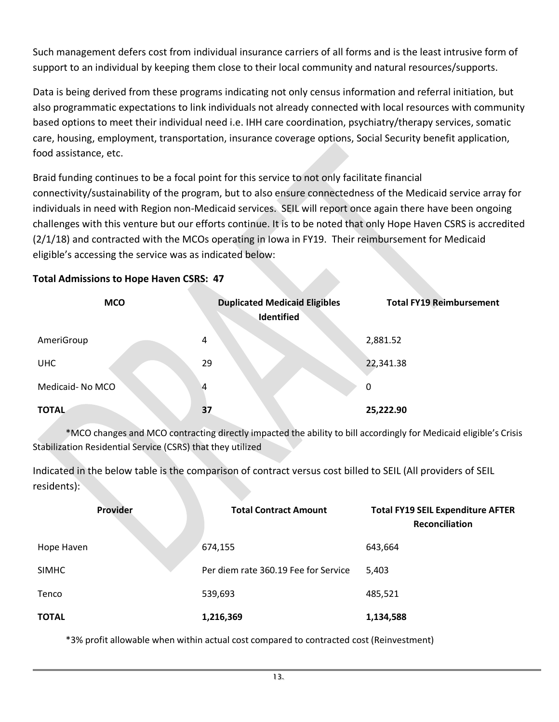Such management defers cost from individual insurance carriers of all forms and is the least intrusive form of support to an individual by keeping them close to their local community and natural resources/supports.

Data is being derived from these programs indicating not only census information and referral initiation, but also programmatic expectations to link individuals not already connected with local resources with community based options to meet their individual need i.e. IHH care coordination, psychiatry/therapy services, somatic care, housing, employment, transportation, insurance coverage options, Social Security benefit application, food assistance, etc.

Braid funding continues to be a focal point for this service to not only facilitate financial connectivity/sustainability of the program, but to also ensure connectedness of the Medicaid service array for individuals in need with Region non-Medicaid services. SEIL will report once again there have been ongoing challenges with this venture but our efforts continue. It is to be noted that only Hope Haven CSRS is accredited (2/1/18) and contracted with the MCOs operating in Iowa in FY19. Their reimbursement for Medicaid eligible's accessing the service was as indicated below:

| <b>Total Admissions to Hope Haven CSRS: 47</b> |  |  |
|------------------------------------------------|--|--|
|                                                |  |  |

| <b>MCO</b>      | <b>Duplicated Medicaid Eligibles</b><br>Identified | <b>Total FY19 Reimbursement</b> |
|-----------------|----------------------------------------------------|---------------------------------|
| AmeriGroup      | 4                                                  | 2,881.52                        |
| <b>UHC</b>      | 29                                                 | 22,341.38                       |
| Medicaid-No MCO | 4                                                  | $\mathbf 0$                     |
| <b>TOTAL</b>    | 37                                                 | 25,222.90                       |

\*MCO changes and MCO contracting directly impacted the ability to bill accordingly for Medicaid eligible's Crisis Stabilization Residential Service (CSRS) that they utilized

Indicated in the below table is the comparison of contract versus cost billed to SEIL (All providers of SEIL residents):

| <b>Provider</b> | <b>Total Contract Amount</b>         | <b>Total FY19 SEIL Expenditure AFTER</b><br>Reconciliation |
|-----------------|--------------------------------------|------------------------------------------------------------|
| Hope Haven      | 674,155                              | 643,664                                                    |
| <b>SIMHC</b>    | Per diem rate 360.19 Fee for Service | 5,403                                                      |
| Tenco           | 539,693                              | 485,521                                                    |
| <b>TOTAL</b>    | 1,216,369                            | 1,134,588                                                  |

\*3% profit allowable when within actual cost compared to contracted cost (Reinvestment)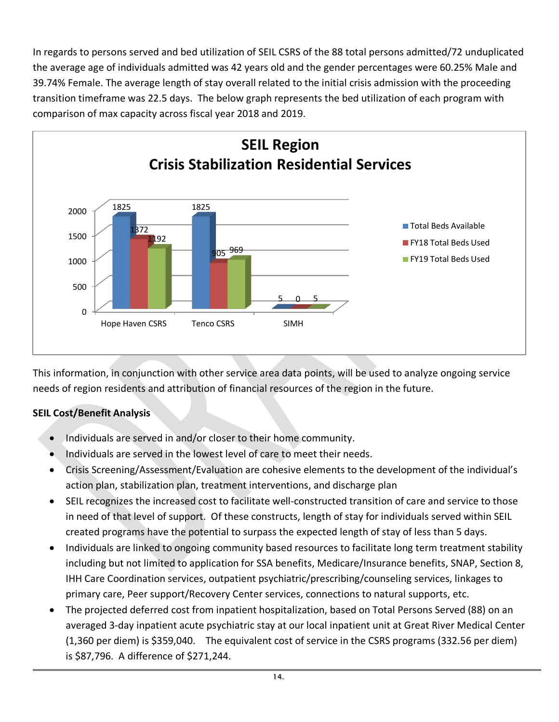In regards to persons served and bed utilization of SEIL CSRS of the 88 total persons admitted/72 unduplicated the average age of individuals admitted was 42 years old and the gender percentages were 60.25% Male and 39.74% Female. The average length of stay overall related to the initial crisis admission with the proceeding transition timeframe was 22.5 days. The below graph represents the bed utilization of each program with comparison of max capacity across fiscal year 2018 and 2019.



This information, in conjunction with other service area data points, will be used to analyze ongoing service needs of region residents and attribution of financial resources of the region in the future.

#### **SEIL Cost/Benefit Analysis**

- Individuals are served in and/or closer to their home community.
- Individuals are served in the lowest level of care to meet their needs.
- Crisis Screening/Assessment/Evaluation are cohesive elements to the development of the individual's action plan, stabilization plan, treatment interventions, and discharge plan
- SEIL recognizes the increased cost to facilitate well-constructed transition of care and service to those in need of that level of support. Of these constructs, length of stay for individuals served within SEIL created programs have the potential to surpass the expected length of stay of less than 5 days.
- Individuals are linked to ongoing community based resources to facilitate long term treatment stability including but not limited to application for SSA benefits, Medicare/Insurance benefits, SNAP, Section 8, IHH Care Coordination services, outpatient psychiatric/prescribing/counseling services, linkages to primary care, Peer support/Recovery Center services, connections to natural supports, etc.
- The projected deferred cost from inpatient hospitalization, based on Total Persons Served (88) on an averaged 3-day inpatient acute psychiatric stay at our local inpatient unit at Great River Medical Center (1,360 per diem) is \$359,040. The equivalent cost of service in the CSRS programs (332.56 per diem) is \$87,796. A difference of \$271,244.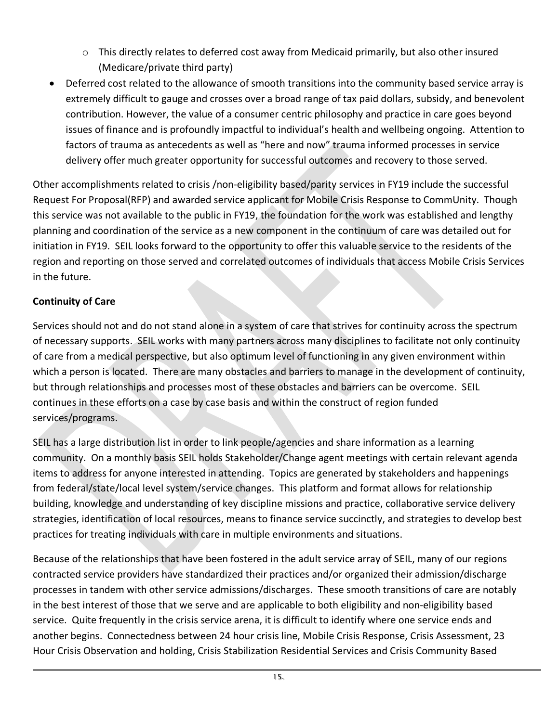- $\circ$  This directly relates to deferred cost away from Medicaid primarily, but also other insured (Medicare/private third party)
- Deferred cost related to the allowance of smooth transitions into the community based service array is extremely difficult to gauge and crosses over a broad range of tax paid dollars, subsidy, and benevolent contribution. However, the value of a consumer centric philosophy and practice in care goes beyond issues of finance and is profoundly impactful to individual's health and wellbeing ongoing. Attention to factors of trauma as antecedents as well as "here and now" trauma informed processes in service delivery offer much greater opportunity for successful outcomes and recovery to those served.

Other accomplishments related to crisis /non-eligibility based/parity services in FY19 include the successful Request For Proposal(RFP) and awarded service applicant for Mobile Crisis Response to CommUnity. Though this service was not available to the public in FY19, the foundation for the work was established and lengthy planning and coordination of the service as a new component in the continuum of care was detailed out for initiation in FY19. SEIL looks forward to the opportunity to offer this valuable service to the residents of the region and reporting on those served and correlated outcomes of individuals that access Mobile Crisis Services in the future.

#### **Continuity of Care**

Services should not and do not stand alone in a system of care that strives for continuity across the spectrum of necessary supports. SEIL works with many partners across many disciplines to facilitate not only continuity of care from a medical perspective, but also optimum level of functioning in any given environment within which a person is located. There are many obstacles and barriers to manage in the development of continuity, but through relationships and processes most of these obstacles and barriers can be overcome. SEIL continues in these efforts on a case by case basis and within the construct of region funded services/programs.

SEIL has a large distribution list in order to link people/agencies and share information as a learning community. On a monthly basis SEIL holds Stakeholder/Change agent meetings with certain relevant agenda items to address for anyone interested in attending. Topics are generated by stakeholders and happenings from federal/state/local level system/service changes. This platform and format allows for relationship building, knowledge and understanding of key discipline missions and practice, collaborative service delivery strategies, identification of local resources, means to finance service succinctly, and strategies to develop best practices for treating individuals with care in multiple environments and situations.

Because of the relationships that have been fostered in the adult service array of SEIL, many of our regions contracted service providers have standardized their practices and/or organized their admission/discharge processes in tandem with other service admissions/discharges. These smooth transitions of care are notably in the best interest of those that we serve and are applicable to both eligibility and non-eligibility based service. Quite frequently in the crisis service arena, it is difficult to identify where one service ends and another begins. Connectedness between 24 hour crisis line, Mobile Crisis Response, Crisis Assessment, 23 Hour Crisis Observation and holding, Crisis Stabilization Residential Services and Crisis Community Based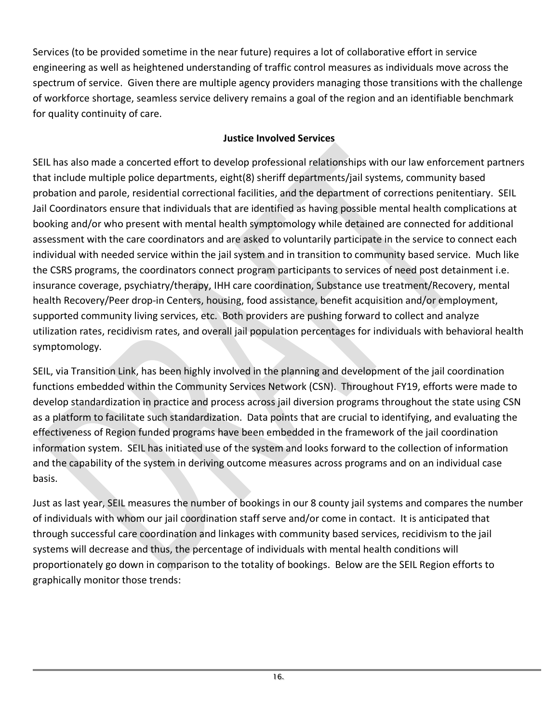Services (to be provided sometime in the near future) requires a lot of collaborative effort in service engineering as well as heightened understanding of traffic control measures as individuals move across the spectrum of service. Given there are multiple agency providers managing those transitions with the challenge of workforce shortage, seamless service delivery remains a goal of the region and an identifiable benchmark for quality continuity of care.

#### **Justice Involved Services**

SEIL has also made a concerted effort to develop professional relationships with our law enforcement partners that include multiple police departments, eight(8) sheriff departments/jail systems, community based probation and parole, residential correctional facilities, and the department of corrections penitentiary. SEIL Jail Coordinators ensure that individuals that are identified as having possible mental health complications at booking and/or who present with mental health symptomology while detained are connected for additional assessment with the care coordinators and are asked to voluntarily participate in the service to connect each individual with needed service within the jail system and in transition to community based service. Much like the CSRS programs, the coordinators connect program participants to services of need post detainment i.e. insurance coverage, psychiatry/therapy, IHH care coordination, Substance use treatment/Recovery, mental health Recovery/Peer drop-in Centers, housing, food assistance, benefit acquisition and/or employment, supported community living services, etc. Both providers are pushing forward to collect and analyze utilization rates, recidivism rates, and overall jail population percentages for individuals with behavioral health symptomology.

SEIL, via Transition Link, has been highly involved in the planning and development of the jail coordination functions embedded within the Community Services Network (CSN). Throughout FY19, efforts were made to develop standardization in practice and process across jail diversion programs throughout the state using CSN as a platform to facilitate such standardization. Data points that are crucial to identifying, and evaluating the effectiveness of Region funded programs have been embedded in the framework of the jail coordination information system. SEIL has initiated use of the system and looks forward to the collection of information and the capability of the system in deriving outcome measures across programs and on an individual case basis.

Just as last year, SEIL measures the number of bookings in our 8 county jail systems and compares the number of individuals with whom our jail coordination staff serve and/or come in contact. It is anticipated that through successful care coordination and linkages with community based services, recidivism to the jail systems will decrease and thus, the percentage of individuals with mental health conditions will proportionately go down in comparison to the totality of bookings. Below are the SEIL Region efforts to graphically monitor those trends: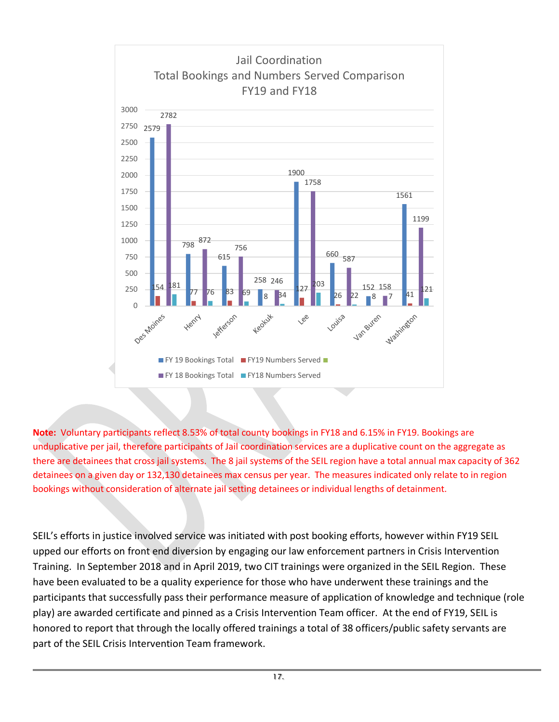

**Note:** Voluntary participants reflect 8.53% of total county bookings in FY18 and 6.15% in FY19. Bookings are unduplicative per jail, therefore participants of Jail coordination services are a duplicative count on the aggregate as there are detainees that cross jail systems. The 8 jail systems of the SEIL region have a total annual max capacity of 362 detainees on a given day or 132,130 detainees max census per year. The measures indicated only relate to in region bookings without consideration of alternate jail setting detainees or individual lengths of detainment.

SEIL's efforts in justice involved service was initiated with post booking efforts, however within FY19 SEIL upped our efforts on front end diversion by engaging our law enforcement partners in Crisis Intervention Training. In September 2018 and in April 2019, two CIT trainings were organized in the SEIL Region. These have been evaluated to be a quality experience for those who have underwent these trainings and the participants that successfully pass their performance measure of application of knowledge and technique (role play) are awarded certificate and pinned as a Crisis Intervention Team officer. At the end of FY19, SEIL is honored to report that through the locally offered trainings a total of 38 officers/public safety servants are part of the SEIL Crisis Intervention Team framework.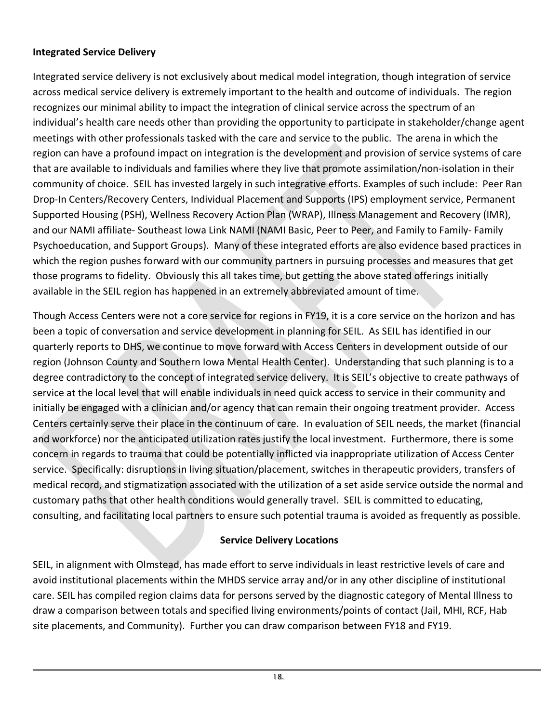#### **Integrated Service Delivery**

Integrated service delivery is not exclusively about medical model integration, though integration of service across medical service delivery is extremely important to the health and outcome of individuals. The region recognizes our minimal ability to impact the integration of clinical service across the spectrum of an individual's health care needs other than providing the opportunity to participate in stakeholder/change agent meetings with other professionals tasked with the care and service to the public. The arena in which the region can have a profound impact on integration is the development and provision of service systems of care that are available to individuals and families where they live that promote assimilation/non-isolation in their community of choice. SEIL has invested largely in such integrative efforts. Examples of such include: Peer Ran Drop-In Centers/Recovery Centers, Individual Placement and Supports (IPS) employment service, Permanent Supported Housing (PSH), Wellness Recovery Action Plan (WRAP), Illness Management and Recovery (IMR), and our NAMI affiliate- Southeast Iowa Link NAMI (NAMI Basic, Peer to Peer, and Family to Family- Family Psychoeducation, and Support Groups). Many of these integrated efforts are also evidence based practices in which the region pushes forward with our community partners in pursuing processes and measures that get those programs to fidelity. Obviously this all takes time, but getting the above stated offerings initially available in the SEIL region has happened in an extremely abbreviated amount of time.

Though Access Centers were not a core service for regions in FY19, it is a core service on the horizon and has been a topic of conversation and service development in planning for SEIL. As SEIL has identified in our quarterly reports to DHS, we continue to move forward with Access Centers in development outside of our region (Johnson County and Southern Iowa Mental Health Center). Understanding that such planning is to a degree contradictory to the concept of integrated service delivery. It is SEIL's objective to create pathways of service at the local level that will enable individuals in need quick access to service in their community and initially be engaged with a clinician and/or agency that can remain their ongoing treatment provider. Access Centers certainly serve their place in the continuum of care. In evaluation of SEIL needs, the market (financial and workforce) nor the anticipated utilization rates justify the local investment. Furthermore, there is some concern in regards to trauma that could be potentially inflicted via inappropriate utilization of Access Center service. Specifically: disruptions in living situation/placement, switches in therapeutic providers, transfers of medical record, and stigmatization associated with the utilization of a set aside service outside the normal and customary paths that other health conditions would generally travel. SEIL is committed to educating, consulting, and facilitating local partners to ensure such potential trauma is avoided as frequently as possible.

#### **Service Delivery Locations**

SEIL, in alignment with Olmstead, has made effort to serve individuals in least restrictive levels of care and avoid institutional placements within the MHDS service array and/or in any other discipline of institutional care. SEIL has compiled region claims data for persons served by the diagnostic category of Mental Illness to draw a comparison between totals and specified living environments/points of contact (Jail, MHI, RCF, Hab site placements, and Community). Further you can draw comparison between FY18 and FY19.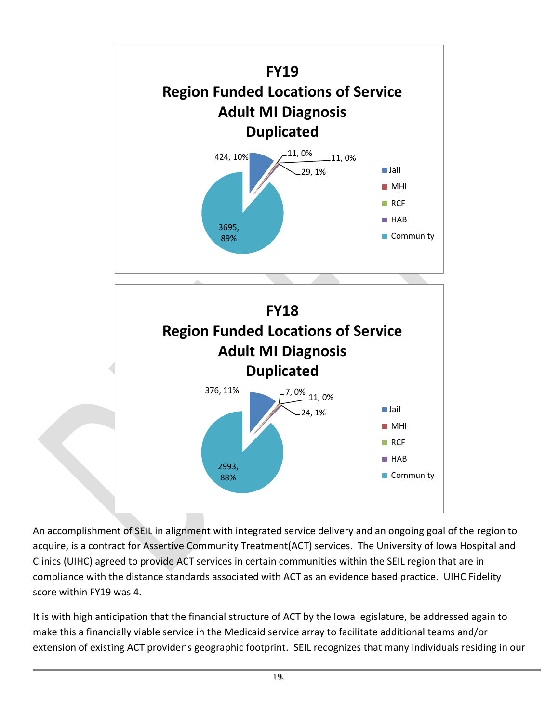

An accomplishment of SEIL in alignment with integrated service delivery and an ongoing goal of the region to acquire, is a contract for Assertive Community Treatment(ACT) services. The University of Iowa Hospital and Clinics (UIHC) agreed to provide ACT services in certain communities within the SEIL region that are in compliance with the distance standards associated with ACT as an evidence based practice. UIHC Fidelity score within FY19 was 4.

It is with high anticipation that the financial structure of ACT by the Iowa legislature, be addressed again to make this a financially viable service in the Medicaid service array to facilitate additional teams and/or extension of existing ACT provider's geographic footprint. SEIL recognizes that many individuals residing in our